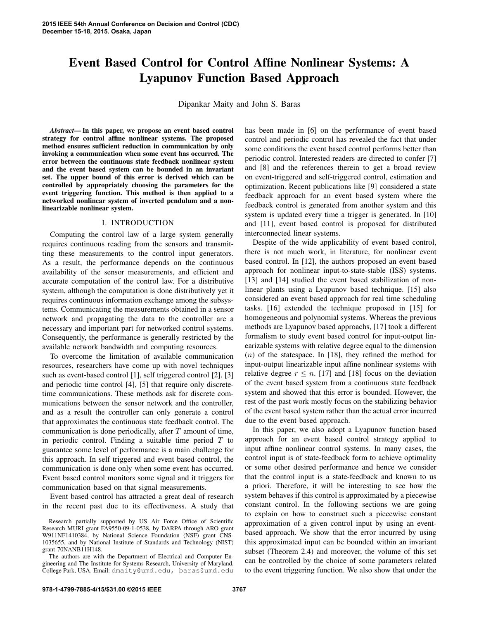# Event Based Control for Control Affine Nonlinear Systems: A Lyapunov Function Based Approach

Dipankar Maity and John S. Baras

*Abstract*— In this paper, we propose an event based control strategy for control affine nonlinear systems. The proposed method ensures sufficient reduction in communication by only invoking a communication when some event has occurred. The error between the continuous state feedback nonlinear system and the event based system can be bounded in an invariant set. The upper bound of this error is derived which can be controlled by appropriately choosing the parameters for the event triggering function. This method is then applied to a networked nonlinear system of inverted pendulum and a nonlinearizable nonlinear system.

### I. INTRODUCTION

Computing the control law of a large system generally requires continuous reading from the sensors and transmitting these measurements to the control input generators. As a result, the performance depends on the continuous availability of the sensor measurements, and efficient and accurate computation of the control law. For a distributive system, although the computation is done distributively yet it requires continuous information exchange among the subsystems. Communicating the measurements obtained in a sensor network and propagating the data to the controller are a necessary and important part for networked control systems. Consequently, the performance is generally restricted by the available network bandwidth and computing resources.

To overcome the limitation of available communication resources, researchers have come up with novel techniques such as event-based control [1], self triggered control [2], [3] and periodic time control [4], [5] that require only discretetime communications. These methods ask for discrete communications between the sensor network and the controller, and as a result the controller can only generate a control that approximates the continuous state feedback control. The communication is done periodically, after  $T$  amount of time, in periodic control. Finding a suitable time period  $T$  to guarantee some level of performance is a main challenge for this approach. In self triggered and event based control, the communication is done only when some event has occurred. Event based control monitors some signal and it triggers for communication based on that signal measurements.

Event based control has attracted a great deal of research in the recent past due to its effectiveness. A study that has been made in [6] on the performance of event based control and periodic control has revealed the fact that under some conditions the event based control performs better than periodic control. Interested readers are directed to confer [7] and [8] and the references therein to get a broad review on event-triggered and self-triggered control, estimation and optimization. Recent publications like [9] considered a state feedback approach for an event based system where the feedback control is generated from another system and this system is updated every time a trigger is generated. In [10] and [11], event based control is proposed for distributed interconnected linear systems.

Despite of the wide applicability of event based control, there is not much work, in literature, for nonlinear event based control. In [12], the authors proposed an event based approach for nonlinear input-to-state-stable (ISS) systems. [13] and [14] studied the event based stabilization of nonlinear plants using a Lyapunov based technique. [15] also considered an event based approach for real time scheduling tasks. [16] extended the technique proposed in [15] for homogeneous and polynomial systems. Whereas the previous methods are Lyapunov based approachs, [17] took a different formalism to study event based control for input-output linearizable systems with relative degree equal to the dimension  $(n)$  of the statespace. In [18], they refined the method for input-output linearizable input affine nonlinear systems with relative degree  $r \leq n$ . [17] and [18] focus on the deviation of the event based system from a continuous state feedback system and showed that this error is bounded. However, the rest of the past work mostly focus on the stabilizing behavior of the event based system rather than the actual error incurred due to the event based approach.

In this paper, we also adopt a Lyapunov function based approach for an event based control strategy applied to input affine nonlinear control systems. In many cases, the control input is of state-feedback form to achieve optimality or some other desired performance and hence we consider that the control input is a state-feedback and known to us a priori. Therefore, it will be interesting to see how the system behaves if this control is approximated by a piecewise constant control. In the following sections we are going to explain on how to construct such a piecewise constant approximation of a given control input by using an eventbased approach. We show that the error incurred by using this approximated input can be bounded within an invariant subset (Theorem 2.4) and moreover, the volume of this set can be controlled by the choice of some parameters related to the event triggering function. We also show that under the

Research partially supported by US Air Force Office of Scientific Research MURI grant FA9550-09-1-0538, by DARPA through ARO grant W911NF1410384, by National Science Foundation (NSF) grant CNS-1035655, and by National Institute of Standards and Technology (NIST) grant 70NANB11H148.

The authors are with the Department of Electrical and Computer Engineering and The Institute for Systems Research, University of Maryland, College Park, USA. Email: dmaity@umd.edu, baras@umd.edu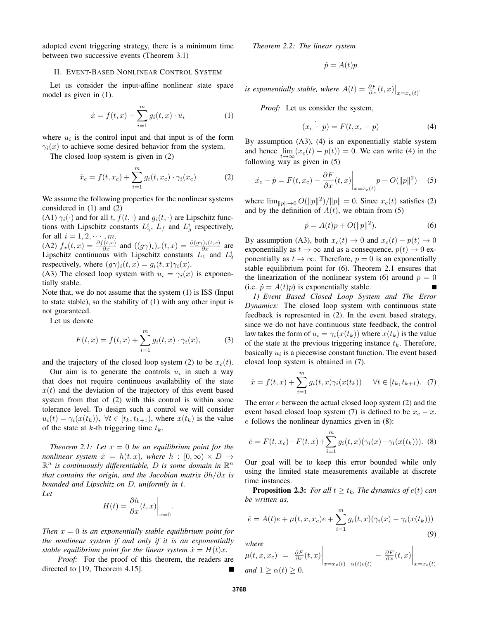adopted event triggering strategy, there is a minimum time between two successive events (Theorem 3.1)

## II. EVENT-BASED NONLINEAR CONTROL SYSTEM

Let us consider the input-affine nonlinear state space model as given in (1).

$$
\dot{x} = f(t, x) + \sum_{i=1}^{m} g_i(t, x) \cdot u_i \tag{1}
$$

where  $u_i$  is the control input and that input is of the form  $\gamma_i(x)$  to achieve some desired behavior from the system.

The closed loop system is given in (2)

$$
\dot{x}_c = f(t, x_c) + \sum_{i=1}^{m} g_i(t, x_c) \cdot \gamma_i(x_c)
$$
 (2)

We assume the following properties for the nonlinear systems considered in (1) and (2)

(A1)  $\gamma_i(\cdot)$  and for all t,  $f(t, \cdot)$  and  $g_i(t, \cdot)$  are Lipschitz functions with Lipschitz constants  $L^i_\gamma$ ,  $L_f$  and  $L^i_g$  respectively, for all  $i = 1, 2, \dots, m$ . (A2)  $f_x(t, x) = \frac{\partial f(t, x)}{\partial x}$  and  $((g\gamma)_i)_x(t, x) = \frac{\partial (g\gamma)_i(t, x)}{\partial x}$  are

Lipschitz continuous with Lipschitz constants  $L_1^{\infty}$  and  $L_2^i$ respectively, where  $(g\gamma)_i(t, x) = g_i(t, x)\gamma_i(x)$ .

(A3) The closed loop system with  $u_i = \gamma_i(x)$  is exponentially stable.

Note that, we do not assume that the system (1) is ISS (Input to state stable), so the stability of (1) with any other input is not guaranteed.

Let us denote

$$
F(t, x) = f(t, x) + \sum_{i=1}^{m} g_i(t, x) \cdot \gamma_i(x),
$$
 (3)

and the trajectory of the closed loop system (2) to be  $x_c(t)$ .

Our aim is to generate the controls  $u_i$  in such a way that does not require continuous availability of the state  $x(t)$  and the deviation of the trajectory of this event based system from that of (2) with this control is within some tolerance level. To design such a control we will consider  $u_i(t) = \gamma_i(x(t_k))$ ,  $\forall t \in [t_k, t_{k+1})$ , where  $x(t_k)$  is the value of the state at  $k$ -th triggering time  $t_k$ .

*Theorem 2.1: Let*  $x = 0$  *be an equilibrium point for the nonlinear system*  $\dot{x} = h(t, x)$ *, where*  $h : [0, \infty) \times D \rightarrow$  $\mathbb{R}^n$  *is continuously differentiable, D is some domain in*  $\mathbb{R}^n$ *that contains the origin, and the Jacobian matrix* ∂h/∂x *is bounded and Lipschitz on* D*, uniformly in* t*. Let*

$$
H(t) = \frac{\partial h}{\partial x}(t, x)\Big|_{x=0}.
$$

*Then* x = 0 *is an exponentially stable equilibrium point for the nonlinear system if and only if it is an exponentially stable equilibrium point for the linear system*  $\dot{x} = H(t)x$ .

*Proof:* For the proof of this theorem, the readers are directed to [19, Theorem 4.15].

*Theorem 2.2: The linear system*

$$
\dot{p} = A(t)p
$$

*is exponentially stable, where*  $A(t) = \frac{\partial F}{\partial x}(t, x)|_{x=x_c(t)}$ .

*Proof:* Let us consider the system,

$$
\dot{(x_c - p)} = F(t, x_c - p) \tag{4}
$$

By assumption (A3), (4) is an exponentially stable system and hence  $\lim_{t\to\infty}(x_c(t)-p(t))=0$ . We can write (4) in the following way as given in (5)

$$
\dot{x_c} - \dot{p} = F(t, x_c) - \frac{\partial F}{\partial x}(t, x) \Big|_{x = x_c(t)} p + O(||p||^2)
$$
 (5)

where  $\lim_{\|p\| \to 0} O(\|p\|^2)/\|p\| = 0$ . Since  $x_c(t)$  satisfies (2) and by the definition of  $A(t)$ , we obtain from (5)

$$
\dot{p} = A(t)p + O(||p||^2). \tag{6}
$$

By assumption (A3), both  $x_c(t) \rightarrow 0$  and  $x_c(t) - p(t) \rightarrow 0$ exponentially as  $t \to \infty$  and as a consequence,  $p(t) \to 0$  exponentially as  $t \to \infty$ . Therefore,  $p = 0$  is an exponentially stable equilibrium point for (6). Theorem 2.1 ensures that the linearization of the nonlinear system (6) around  $p = 0$ (i.e.  $\dot{p} = A(t)p$ ) is exponentially stable.

*1) Event Based Closed Loop System and The Error Dynamics:* The closed loop system with continuous state feedback is represented in (2). In the event based strategy, since we do not have continuous state feedback, the control law takes the form of  $u_i = \gamma_i(x(t_k))$  where  $x(t_k)$  is the value of the state at the previous triggering instance  $t_k$ . Therefore, basically  $u_i$  is a piecewise constant function. The event based closed loop system is obtained in (7).

$$
\dot{x} = f(t, x) + \sum_{i=1}^{m} g_i(t, x) \gamma_i(x(t_k)) \quad \forall t \in [t_k, t_{k+1}). \tag{7}
$$

The error *e* between the actual closed loop system (2) and the event based closed loop system (7) is defined to be  $x_c - x$ . e follows the nonlinear dynamics given in (8):

$$
\dot{e} = F(t, x_c) - F(t, x) + \sum_{i=1}^{m} g_i(t, x) (\gamma_i(x) - \gamma_i(x(t_k))). \ (8)
$$

Our goal will be to keep this error bounded while only using the limited state measurements available at discrete time instances.

**Proposition 2.3:** *For all*  $t \geq t_k$ *, The dynamics of e(t) can be written as,*

$$
\dot{e} = A(t)e + \mu(t, x, x_c)e + \sum_{i=1}^{m} g_i(t, x)(\gamma_i(x) - \gamma_i(x(t_k)))
$$
\n(9)

*where*

$$
\mu(t, x, x_c) = \frac{\partial F}{\partial x}(t, x)\Big|_{x = x_c(t) - \alpha(t)e(t)} - \frac{\partial F}{\partial x}(t, x)\Big|_{x = x_c(t)}
$$
  
and  $1 \ge \alpha(t) \ge 0$ .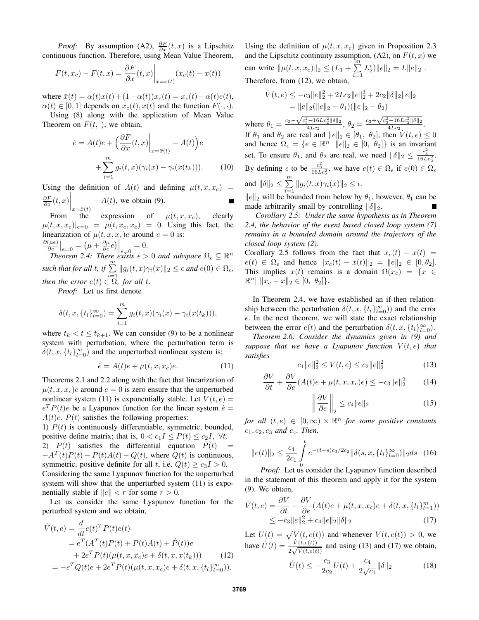*Proof:* By assumption (A2),  $\frac{\partial F}{\partial x}(t, x)$  is a Lipschitz continuous function. Therefore, using Mean Value Theorem,

$$
F(t, x_c) - F(t, x) = \frac{\partial F}{\partial x}(t, x)\Big|_{x = \bar{x}(t)} (x_c(t) - x(t))
$$

where  $\bar{x}(t) = \alpha(t)x(t) + (1-\alpha(t))x_c(t) = x_c(t) - \alpha(t)e(t)$ ,  $\alpha(t) \in [0, 1]$  depends on  $x_c(t)$ ,  $x(t)$  and the function  $F(\cdot, \cdot)$ .

Using (8) along with the application of Mean Value Theorem on  $F(t, \cdot)$ , we obtain,

$$
\dot{e} = A(t)e + \left(\frac{\partial F}{\partial x}(t, x)\right|_{x = \bar{x}(t)} - A(t)\Big)e
$$

$$
+ \sum_{i=1}^{m} g_i(t, x)(\gamma_i(x) - \gamma_i(x(t_k))). \tag{10}
$$

Using the definition of  $A(t)$  and defining  $\mu(t, x, x_c)$  =  $\frac{\partial F}{\partial x}(t,x)\Big|_{x=\bar{x}(t)}$  $-A(t)$ , we obtain (9).

From the expression of  $\mu(t, x, x_c)$ , clearly  $\mu(t, x, x_c)|_{e=0} = \mu(t, x_c, x_c) = 0$ . Using this fact, the linearization of  $\mu(t, x, x_c)e$  around  $e = 0$  is:

$$
\frac{\partial(\mu e)}{\partial e}\Big|_{e=0} = \left(\mu + \frac{\partial \mu}{\partial e}e\right)\Big|_{e=0} = 0.
$$
\nTheorem 2.4: There exists  $\epsilon > 0$  and subspace  $\Omega_{\epsilon} \subseteq \mathbb{R}^n$ 

\nsuch that for all  $t$ , if  $\sum_{i=1}^m \|g_i(t, x)\gamma_i(x)\|_2 \le \epsilon$  and  $e(0) \in \Omega_{\epsilon}$ ,

\nthen the error  $e(t) \in \Omega_{\epsilon}$  for all  $t$ .

*Proof:* Let us first denote

$$
\delta(t, x, \{t_l\}_{l=0}^{\infty}) = \sum_{i=1}^{m} g_i(t, x) (\gamma_i(x) - \gamma_i(x(t_k))),
$$

where  $t_k < t \leq t_{k+1}$ . We can consider (9) to be a nonlinear system with perturbation, where the perturbation term is  $\delta(t, x, \{t_l\}_{l=0}^{\infty})$  and the unperturbed nonlinear system is:

$$
\dot{e} = A(t)e + \mu(t, x, x_c)e. \tag{11}
$$

Theorems 2.1 and 2.2 along with the fact that linearization of  $\mu(t, x, x_c)e$  around  $e = 0$  is zero ensure that the unperturbed nonlinear system (11) is exponentially stable. Let  $V(t, e) =$  $e^T P(t) e$  be a Lyapunov function for the linear system  $\dot{e} =$  $A(t)e$ .  $P(t)$  satisfies the following properties:

1)  $P(t)$  is continuously differentiable, symmetric, bounded, positive define matrix; that is,  $0 < c_1 I \leq P(t) \leq c_2 I$ ,  $\forall t$ . 2)  $P(t)$  satisfies the differential equation  $\dot{P}(t)$  =  $-A^T(t)P(t) - P(t)A(t) - Q(t)$ , where  $Q(t)$  is continuous, symmetric, positive definite for all t, i.e.  $Q(t) \ge c_3 I > 0$ . Considering the same Lyapunov function for the unperturbed system will show that the unperturbed system (11) is exponentially stable if  $||e|| < r$  for some  $r > 0$ .

Let us consider the same Lyapunov function for the perturbed system and we obtain,

$$
\dot{V}(t, e) = \frac{d}{dt} e(t)^T P(t) e(t)
$$
\n
$$
= e^T (A^T(t) P(t) + P(t) A(t) + \dot{P}(t)) e
$$
\n
$$
+ 2e^T P(t) (\mu(t, x, x_c) e + \delta(t, x, x(t_k))) \tag{12}
$$
\n
$$
= -e^T Q(t) e + 2e^T P(t) (\mu(t, x, x_c) e + \delta(t, x, \{t_l\}_{l=0}^{\infty})).
$$

Using the definition of  $\mu(t, x, x_c)$  given in Proposition 2.3 and the Lipschitz continuity assumption, (A2), on  $F(t, x)$  we can write  $\|\mu(t, x, x_c)\|_2 \leq (L_1 + \sum_{i=1}^{m}$  $i=1$  $L_2^i$ )|| $e$ || $_2 = L$ || $e$ || $_2$ . Therefore, from (12), we obtain,

$$
\dot{V}(t, e) \le -c_3 \|e\|_2^2 + 2Lc_2 \|e\|_2^3 + 2c_2 \|\delta\|_2 \|e\|_2
$$
  
=  $||e||_2 (||e||_2 - \theta_1)(||e||_2 - \theta_2)$ 

where  $\theta_1 = \frac{c_3 - \sqrt{c_3^2 - 16Lc_2^2 ||\delta||_2}}{4Lc_2}$  $\frac{d^2-16Lc^2_2\|\delta\|_2}{4Lc_2},\ \theta_2=\frac{c_3+\sqrt{c^2_3-16Lc^2_2\|\delta\|_2}}{4Lc_2}.$  $\frac{4Lc_2}{4Lc_2}$ . If  $\theta_1$  and  $\theta_2$  are real and  $||e||_2 \in [\theta_1, \theta_2]$ , then  $V(t, e) \leq 0$ and hence  $\Omega_{\epsilon} = \{e \in \mathbb{R}^n \mid ||e||_2 \in [0, \theta_2]\}$  is an invariant set. To ensure  $\theta_1$ , and  $\theta_2$  are real, we need  $\|\delta\|_2 \leq \frac{c_3^2}{16Lc_2^2}$ . By defining  $\epsilon$  to be  $\frac{c_3^2}{16Lc_2^2}$ , we have  $e(t) \in \Omega_{\epsilon}$  if  $e(0) \in \Omega_{\epsilon}$ and  $\|\delta\|_2 \leq \sum^m$  $\sum_{i=1} \|g_i(t,x)\gamma_i(x)\|_2 \leq \epsilon.$ 

 $||e||_2$  will be bounded from below by  $\theta_1$ , however,  $\theta_1$  can be made arbitrarily small by controlling  $\|\delta\|_2$ .

*Corollary 2.5: Under the same hypothesis as in Theorem 2.4, the behavior of the event based closed loop system (7) remains in a bounded domain around the trajectory of the closed loop system (2)*.

Corollary 2.5 follows from the fact that  $x_c(t) - x(t) =$  $e(t) \in \Omega_e$  and hence  $||x_c(t) - x(t)||_2 = ||e||_2 \in [0, \theta_2].$ This implies  $x(t)$  remains is a domain  $\Omega(x_c) = \{x \in$  $\mathbb{R}^n \|\ \|x_c - x\|_2 \in [0, \ \theta_2] \}.$ 

In Theorem 2.4, we have established an if-then relationship between the perturbation  $\delta(t, x, \{t_l\}_{l=0}^{\infty})$  and the error e. In the next theorem, we will state the exact relationship between the error  $e(t)$  and the perturbation  $\delta(t, x, \{t_l\}_{l=0}^{\infty})$ .

*Theorem 2.6: Consider the dynamics given in (9) and suppose that we have a Lyapunov function*  $V(t, e)$  *that satisfies*

$$
c_1 \|e\|_2^2 \le V(t, e) \le c_2 \|e\|_2^2 \tag{13}
$$

$$
\frac{\partial V}{\partial t} + \frac{\partial V}{\partial e}(A(t)e + \mu(t, x, x_c)e) \le -c_3 \|e\|_2^2 \tag{14}
$$

$$
\left\|\frac{\partial V}{\partial e}\right\|_2 \le c_4 \|e\|_2 \tag{15}
$$

*for all*  $(t, e) \in [0, \infty) \times \mathbb{R}^n$  *for some positive constants*  $c_1, c_2, c_3$  *and*  $c_4$ *. Then,* 

$$
||e(t)||_2 \le \frac{c_4}{2c_1} \int_0^t e^{-(t-s)c_3/2c_2} ||\delta(s, x, \{t_l\}_{l=0}^{\infty})||_2 ds \quad (16)
$$

0 *Proof:* Let us consider the Lyapunov function described in the statement of this theorem and apply it for the system (9). We obtain,

$$
\dot{V}(t,e) = \frac{\partial V}{\partial t} + \frac{\partial V}{\partial e}(A(t)e + \mu(t, x, x_c)e + \delta(t, x, \{t_l\}_{l=1}^m))
$$
\n
$$
\leq -c_3 \|e\|_2^2 + c_4 \|e\|_2 \|\delta\|_2 \tag{17}
$$

Let  $U(t) = \sqrt{V(t, e(t))}$  and whenever  $V(t, e(t)) > 0$ , we have  $\dot{U}(t) = \frac{\dot{V}(t, e(t))}{2\sqrt{V(t, e(t))}}$  and using (13) and (17) we obtain,

$$
\dot{U}(t) \le -\frac{c_3}{2c_2}U(t) + \frac{c_4}{2\sqrt{c_1}}\|\delta\|_2\tag{18}
$$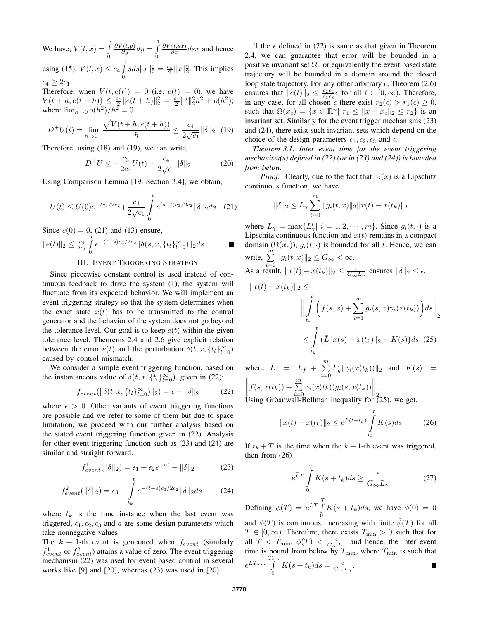We have,  $V(t, x) = \int_0^x$  $\mathbf{0}$  $\frac{\partial V(t,y)}{\partial y}dy=\int\limits_{0}^{1}% d\mu(y)dy$ 0  $\frac{\partial V(t,sx)}{\partial x}$  dsx and hence using (15),  $V(t, x) \le c_4 \int_0^1$ 0  $sds \|x\|_2^2 = \frac{c_4}{2} \|x\|_2^2$ . This implies  $c_4 \geq 2c_1$ .

Therefore, when  $V(t, e(t)) = 0$  (i.e.  $e(t) = 0$ ), we have  $V(t + h, e(t + h)) \leq \frac{c_4}{2} ||e(t + h)||_2^2 = \frac{c_4}{2} ||\delta||_2^2 h^2 + o(h^2);$ where  $\lim_{h\to 0} o(h^2)/h^2 = 0$ 

$$
D^{+}U(t) = \lim_{h \to 0^{+}} \frac{\sqrt{V(t+h, e(t+h))}}{h} \le \frac{c_4}{2\sqrt{c_1}} \|\delta\|_2 \tag{19}
$$

Therefore, using (18) and (19), we can write,

$$
D^{+}U \le -\frac{c_3}{2c_2}U(t) + \frac{c_4}{2\sqrt{c_1}}\|\delta\|_2
$$
 (20)

Using Comparison Lemma [19, Section 3.4], we obtain,

$$
U(t) \le U(0)e^{-tc_3/2c_2} + \frac{c_4}{2\sqrt{c_1}} \int\limits_0^t e^{(s-t)c_3/2c_2} \|\delta\|_2 ds \quad (21)
$$

Since 
$$
e(0) = 0
$$
, (21) and (13) ensure,  
\n
$$
||e(t)||_2 \le \frac{c_4}{2c_1} \int_0^t e^{-(t-s)c_3/2c_2} ||\delta(s, x, \{t_l\}_{l=0}^{\infty})||_2 ds
$$

# III. EVENT TRIGGERING STRATEGY

Since piecewise constant control is used instead of continuous feedback to drive the system (1), the system will fluctuate from its expected behavior. We will implement an event triggering strategy so that the system determines when the exact state  $x(t)$  has to be transmitted to the control generator and the behavior of the system does not go beyond the tolerance level. Our goal is to keep  $e(t)$  within the given tolerance level. Theorems 2.4 and 2.6 give explicit relation between the error  $e(t)$  and the perturbation  $\delta(t, x, \{t_l\}_{l=0}^{\infty})$ caused by control mismatch.

We consider a simple event triggering function, based on the instantaneous value of  $\delta(t, x, \{t_l\}_{l=0}^{\infty})$ , given in (22):

$$
f_{event}(\|\delta(t, x, \{t_l\}_{l=0}^{\infty})\|_2) = \epsilon - \|\delta\|_2 \tag{22}
$$

where  $\epsilon > 0$ . Other variants of event triggering functions are possible and we refer to some of them but due to space limitation, we proceed with our further analysis based on the stated event triggering function given in (22). Analysis for other event triggering function such as (23) and (24) are similar and straight forward.

$$
f_{event}^{1}(\|\delta\|_{2}) = \epsilon_{1} + \epsilon_{2}e^{-at} - \|\delta\|_{2}
$$
 (23)

$$
f_{event}^{2}(\|\delta\|_{2}) = \epsilon_{3} - \int_{t_{k}}^{t} e^{-(t-s)c_{3}/2c_{2}} \|\delta\|_{2} ds \qquad (24)
$$

where  $t_k$  is the time instance when the last event was triggered,  $\epsilon_1, \epsilon_2, \epsilon_3$  and a are some design parameters which take nonnegative values.

The  $k + 1$ -th event is generated when  $f_{event}$  (similarly  $f_{event}^1$  or  $f_{event}^2$ ) attains a value of zero. The event triggering mechanism (22) was used for event based control in several works like [9] and [20], whereas (23) was used in [20].

If the  $\epsilon$  defined in (22) is same as that given in Theorem 2.4, we can guarantee that error will be bounded in a positive invariant set  $\Omega_e$  or equivalently the event based state trajectory will be bounded in a domain around the closed loop state trajectory. For any other arbitrary  $\epsilon$ , Theorem (2.6) ensures that  $||e(t)||_2 \leq \frac{c_2c_4}{c_1c_3}\epsilon$  for all  $t \in [0,\infty)$ . Therefore, in any case, for all chosen  $\epsilon$  there exist  $r_2(\epsilon) > r_1(\epsilon) \geq 0$ , such that  $\Omega(x_c) = \{ x \in \mathbb{R}^n | r_1 \le ||x - x_c||_2 \le r_2 \}$  is an invariant set. Similarly for the event trigger mechanisms (23) and (24), there exist such invariant sets which depend on the choice of the design parameters  $\epsilon_1, \epsilon_2, \epsilon_3$  and a.

*Theorem 3.1: Inter event time for the event triggering mechanism(s) defined in (22) (or in (23) and (24)) is bounded from below.*

*Proof:* Clearly, due to the fact that  $\gamma_i(x)$  is a Lipschitz continuous function, we have

$$
\|\delta\|_2 \le L_\gamma \sum_{i=0}^m \|g_i(t,x)\|_2 \|x(t)-x(t_k)\|_2
$$

where  $L_{\gamma} = \max \{ L_{\gamma}^{i} | i = 1, 2, \cdots, m \}$ . Since  $g_{i}(t, \cdot)$  is a Lipschitz continuous function and  $x(t)$  remains in a compact domain  $(\Omega(x_c))$ ,  $g_i(t, \cdot)$  is bounded for all t. Hence, we can write,  $\sum_{i=0}^{m} ||g_i(t, x)||_2 \leq G_{\infty} < \infty$ . As a result,  $||x(t) - x(t_k)||_2 \le \frac{\epsilon}{G_{\infty}L_{\gamma}}$  ensures  $||\delta||_2 \le \epsilon$ .

$$
||x(t) - x(t_k)||_2 \le
$$
  

$$
\left\| \int_{t_k}^{t} \left( f(s, x) + \sum_{i=1}^{m} g_i(s, x) \gamma_i(x(t_k)) \right) ds \right\|_2
$$
  

$$
\leq \int_{t_k}^{t} (\bar{L}||x(s) - x(t_k)||_2 + K(s)) ds
$$
(25)

where  $\bar{L} = L_f + \sum_{i=1}^{m}$  $i=0$  $L_g^i \|\gamma_i(x(t_k))\|_2$  and  $K(s)$  =  $\begin{array}{c} \hline \end{array}$  $f(s, x(t_k)) + \sum_{i=0}^{m} \gamma_i(x(t_k))g_i(s, x(t_k))\Big\|_2$ .

Using Gröanwall-Bellman inequality for  $(25)$ , we get,

$$
||x(t) - x(t_k)||_2 \le e^{\bar{L}(t - t_k)} \int_{t_k}^t K(s)ds
$$
 (26)

If  $t_k + T$  is the time when the  $k + 1$ -th event was triggered, then from (26)

$$
e^{\overline{L}T} \int\limits_{0}^{T} K(s+t_k) ds \ge \frac{\epsilon}{G_{\infty} L_{\gamma}}
$$
 (27)

Defining  $\phi(T) = e^{\bar{L}T} \int_0^T$  $\int_{0}^{t} K(s+t_k)ds$ , we have  $\phi(0) = 0$ 

and  $\phi(T)$  is continuous, increasing with finite  $\dot{\phi}(T)$  for all  $T \in [0, \infty)$ . Therefore, there exists  $T_{\min} > 0$  such that for all  $T < T_{\min}$ ,  $\phi(T) < \frac{\epsilon}{G_{\infty}L_{\gamma}}$  and hence, the inter event time is bound from below by  $T_{\min}$ , where  $T_{\min}$  is such that  $e^{\bar{L}T_{\min}}\int_0^{T_{\min}}$  $\int_{0}^{\infty} K(s+t_k)ds = \frac{\epsilon}{G_{\infty}L_{\gamma}}.$ ٠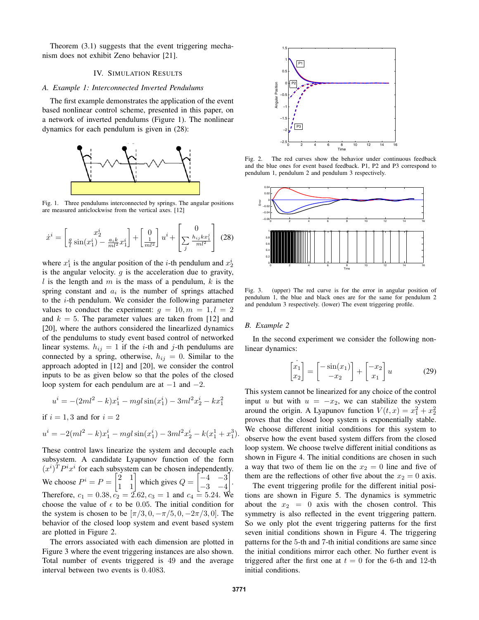Theorem (3.1) suggests that the event triggering mechanism does not exhibit Zeno behavior [21].

# IV. SIMULATION RESULTS

#### *A. Example 1: Interconnected Inverted Pendulums*

The first example demonstrates the application of the event based nonlinear control scheme, presented in this paper, on a network of inverted pendulums (Figure 1). The nonlinear dynamics for each pendulum is given in (28):



Fig. 1. Three pendulums interconnected by springs. The angular positions are measured anticlockwise from the vertical axes. [12]

$$
\dot{x}^{i} = \begin{bmatrix} x_{2}^{i} \\ \frac{q}{i} \sin(x_{1}^{i}) - \frac{a_{i}k}{ml^{2}} x_{1}^{i} \end{bmatrix} + \begin{bmatrix} 0 \\ \frac{1}{ml^{2}} \end{bmatrix} u^{i} + \begin{bmatrix} 0 \\ \sum_{j} \frac{h_{ij}k x_{1}^{j}}{ml^{2}} \end{bmatrix}
$$
(28)

where  $x_1^i$  is the angular position of the *i*-th pendulum and  $x_2^i$ is the angular velocity.  $q$  is the acceleration due to gravity, l is the length and  $m$  is the mass of a pendulum,  $k$  is the spring constant and  $a_i$  is the number of springs attached to the i-th pendulum. We consider the following parameter values to conduct the experiment:  $g = 10, m = 1, l = 2$ and  $k = 5$ . The parameter values are taken from [12] and [20], where the authors considered the linearlized dynamics of the pendulums to study event based control of networked linear systems.  $h_{ij} = 1$  if the *i*-th and *j*-th pendulums are connected by a spring, otherwise,  $h_{ij} = 0$ . Similar to the approach adopted in [12] and [20], we consider the control inputs to be as given below so that the poles of the closed loop system for each pendulum are at  $-1$  and  $-2$ .

$$
u^{i} = -(2ml^{2} - k)x_{1}^{i} - mgl\sin(x_{1}^{i}) - 3ml^{2}x_{2}^{i} - kx_{1}^{2}
$$
 if  $i = 1, 3$  and for  $i = 2$ 

$$
u^{i} = -2(ml^{2} - k)x_{1}^{i} - mgl\sin(x_{1}^{i}) - 3ml^{2}x_{2}^{i} - k(x_{1}^{1} + x_{1}^{3}).
$$

These control laws linearize the system and decouple each subsystem. A candidate Lyapunov function of the form  $(x^{i})^{T} P^{i} x^{i}$  for each subsystem can be chosen independently. We choose  $P^i = P = \begin{bmatrix} 2 & 1 \\ 1 & 1 \end{bmatrix}$  which gives  $Q = \begin{bmatrix} -4 & -3 \\ -3 & -4 \end{bmatrix}$ −3 −4 . Therefore,  $c_1 = 0.38, c_2 = 2.62, c_3 = 1$  and  $c_4 = 5.24$ . We choose the value of  $\epsilon$  to be 0.05. The initial condition for the system is chosen to be  $[\pi/3, 0, -\pi/5, 0, -2\pi/3, 0]$ . The behavior of the closed loop system and event based system are plotted in Figure 2.

The errors associated with each dimension are plotted in Figure 3 where the event triggering instances are also shown. Total number of events triggered is 49 and the average interval between two events is 0.4083.



Fig. 2. The red curves show the behavior under continuous feedback and the blue ones for event based feedback. P1, P2 and P3 correspond to pendulum 1, pendulum 2 and pendulum 3 respectively.



Fig. 3. (upper) The red curve is for the error in angular position of pendulum 1, the blue and black ones are for the same for pendulum 2 and pendulum 3 respectively. (lower) The event triggering profile.

#### *B. Example 2*

In the second experiment we consider the following nonlinear dynamics:

$$
\begin{bmatrix} x_1 \\ x_2 \end{bmatrix} = \begin{bmatrix} -\sin(x_1) \\ -x_2 \end{bmatrix} + \begin{bmatrix} -x_2 \\ x_1 \end{bmatrix} u \tag{29}
$$

This system cannot be linearized for any choice of the control input u but with  $u = -x_2$ , we can stabilize the system around the origin. A Lyapunov function  $V(t, x) = x_1^2 + x_2^2$ proves that the closed loop system is exponentially stable. We choose different initial conditions for this system to observe how the event based system differs from the closed loop system. We choose twelve different initial conditions as shown in Figure 4. The initial conditions are chosen in such a way that two of them lie on the  $x_2 = 0$  line and five of them are the reflections of other five about the  $x_2 = 0$  axis.

The event triggering profile for the different initial positions are shown in Figure 5. The dynamics is symmetric about the  $x_2 = 0$  axis with the chosen control. This symmetry is also reflected in the event triggering pattern. So we only plot the event triggering patterns for the first seven initial conditions shown in Figure 4. The triggering patterns for the 5-th and 7-th initial conditions are same since the initial conditions mirror each other. No further event is triggered after the first one at  $t = 0$  for the 6-th and 12-th initial conditions.